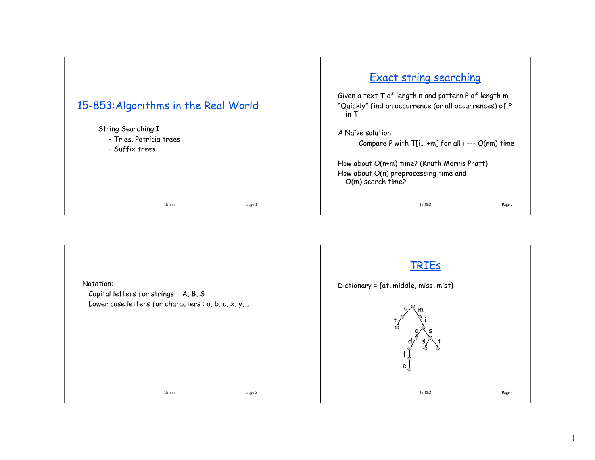

## Exact string searching Given a text T of length n and pattern P of length m "Quickly" find an occurrence (or all occurrences) of P in T A Naïve solution: Compare P with T[i…i+m] for all i --- O(nm) time

How about O(n+m) time? (Knuth Morris Pratt) How about O(n) preprocessing time and O(m) search time?

15-853 Page 2



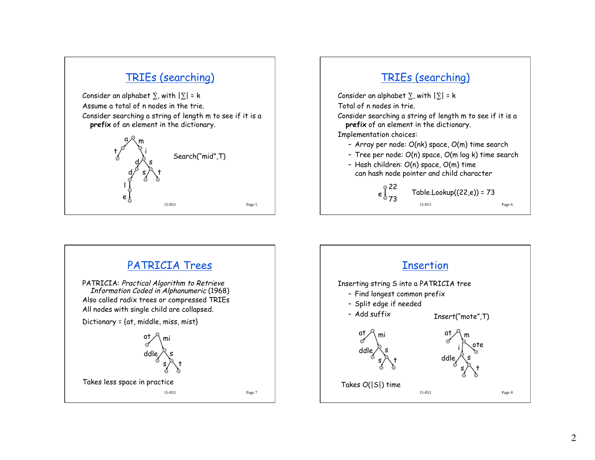

## TRIEs (searching)

Consider an alphabet  $\Sigma$ , with  $|\Sigma|$  = k  $\overline{\phantom{a}}$ Total of n nodes in trie. Consider searching a string of length m to see if it is a

**prefix** of an element in the dictionary.

Implementation choices:

- Array per node: O(nk) space, O(m) time search
- Tree per node: O(n) space, O(m log k) time search
- Hash children: O(n) space, O(m) time can hash node pointer and child character

#### 15-853 Page 6  $e_{073}$  $\sqrt[6]{22}$  Table.Lookup((22,e)) = 73

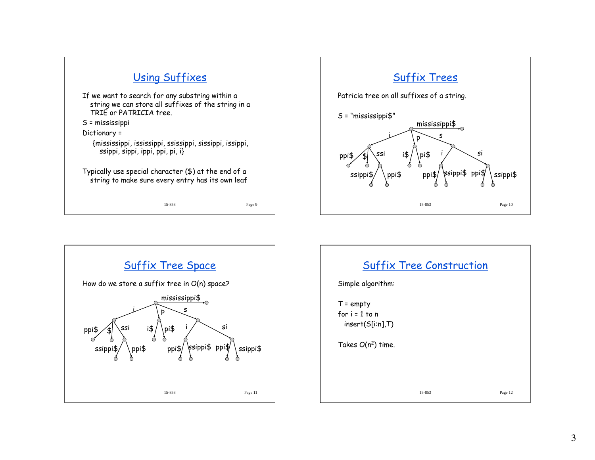



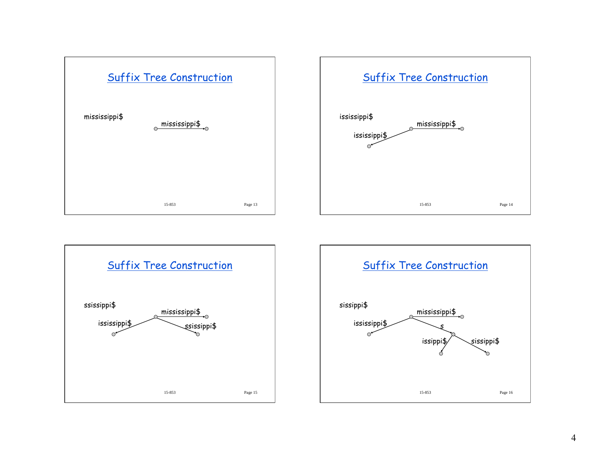





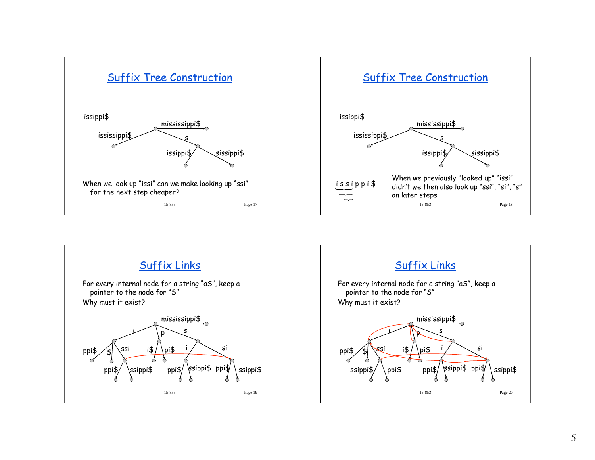





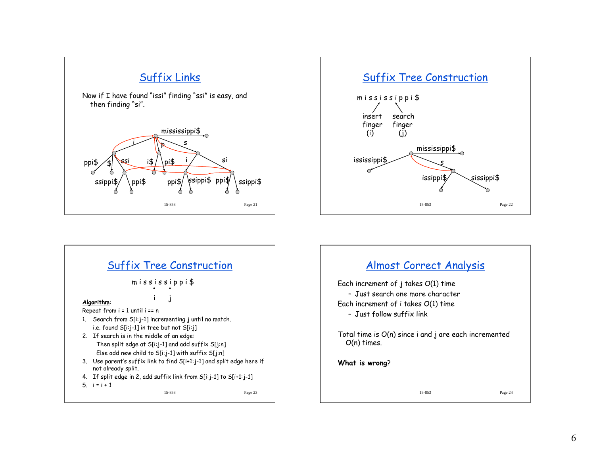





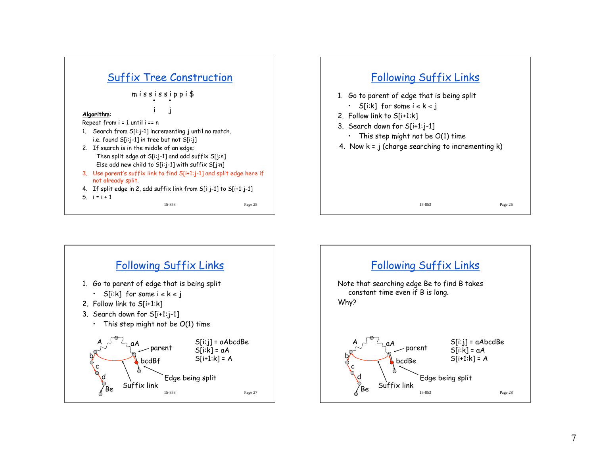





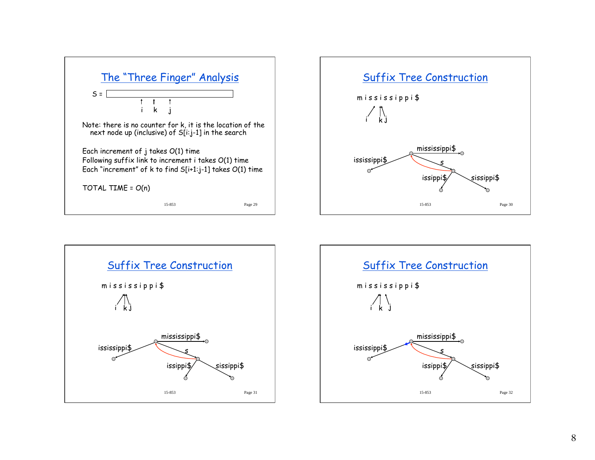





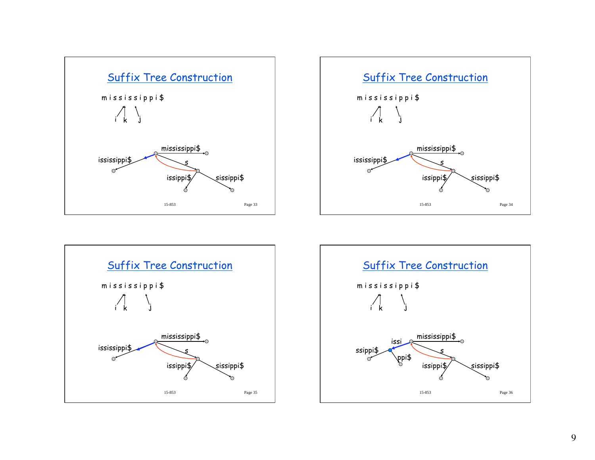





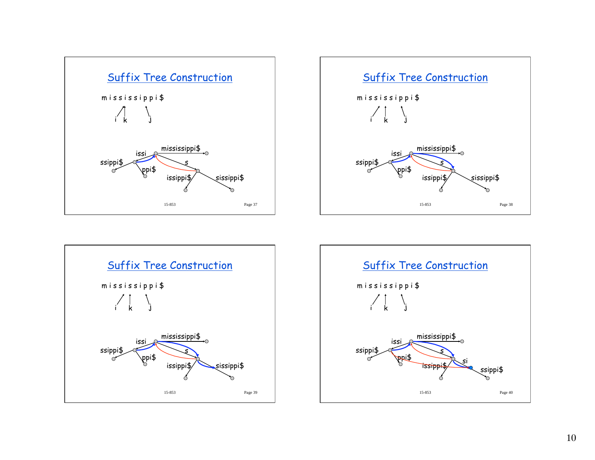





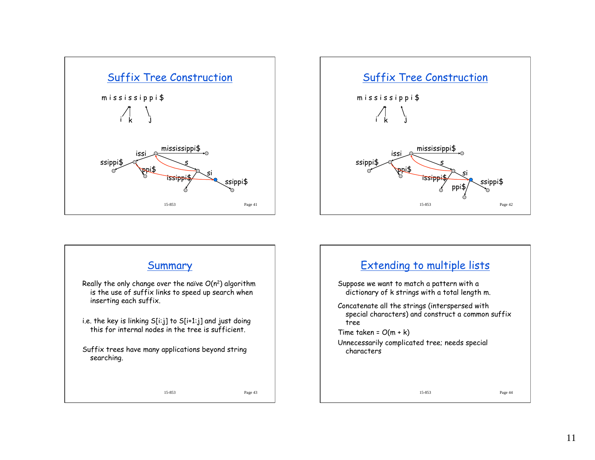





11